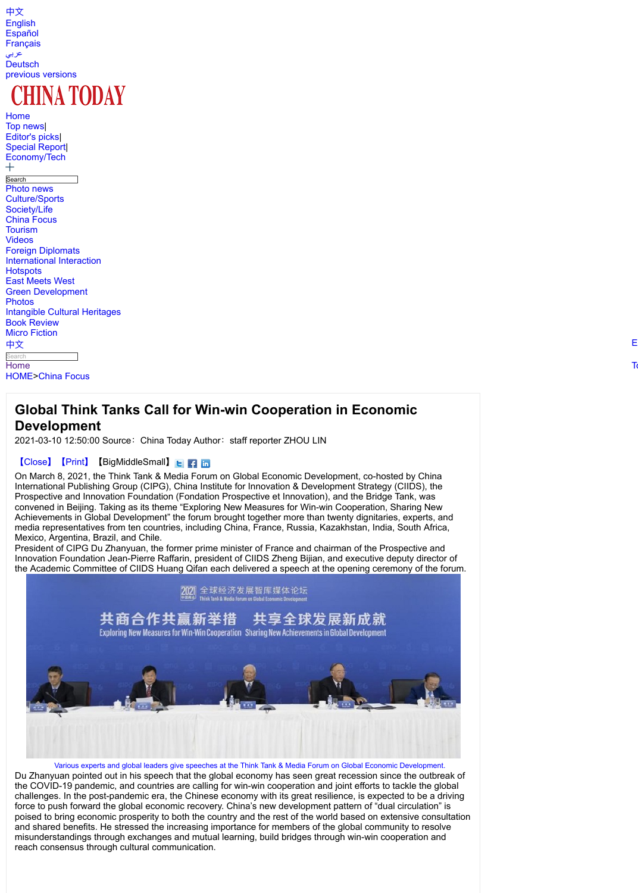2021-03-10 12:50:00 Source:China Today Author:staff reporter ZHOU LIN

## 【[Clo](http://www.chinatoday.com.cn/ctenglish/)se】【Print】【BigMiddleSmall】<mark>E</mark>【1】

[On Ma](http://spanish.chinatoday.com.cn/)rch 8, 2021, the Think Tank & Media Forum on Global Economic Developme [Interna](http://www.chinatoday.com.cn/ctfrench/)tional Publishing Group (CIPG), China Institute for Innovation & Developmer [Pr](http://www.chinatoday.com.cn/ctarabic/)ospective and Innovation Foundation (Fondation Prospective et Innovation), and [conven](http://german.chinatoday.com.cn/)ed in Beijing. Taking as its theme "Exploring New Measures for Win-win Coo [Achievements i](http://www.chinatoday.com.cn/english/index.htm)n Global Development" the forum brought together more than twent [media representatives from](http://www.chinatoday.com.cn/ctenglish/2018/commentaries/202103/t20210310_800239717.html) ten countries, including China, France, Russia, Kazakh Mexico, Argentina, Brazil, and Chile.

President of CIPG Du Zhanyuan, the former prime minister of France and chairmar [Inno](http://www.chinatoday.com.cn/ctenglish/)vation Foundation Jean-Pierre Raffarin, president of CIIDS Zheng Bijian, and e [the Aca](http://www.chinatoday.com.cn/ctenglish/2018/ttxw/)[dem](http://www.chinatoday.com.cn/ctenglish/2018/zdtj/)ic Committee of CIIDS Huang Qifan each delivered a speech at the opening ceremony of the forum.



[Va](http://www.chinatoday.com.cn/ctenglish/2018/br/)rious experts and global leaders give speeches at the Think Tank & Media Forum on Gl [Du Zhanyu](http://www.chinatoday.com.cn/ctenglish/2018/mf/)an pointed out in his speech that the global economy has seen great rec [the](http://www.chinatoday.com.cn/) COVID-19 pandemic, and countries are calling for win-win cooperation and join challenges. In the post-pandemic era, the Chinese economy with its great resilience [force](http://www.chinatoday.com.cn/ctenglish/2018/commentaries/202103/t20210310_800239717.html) to push forward the global economic recovery. China's new development patt [poise](http://www.chinatoday.com.cn/ctenglish/)[d to bring eco](http://www.chinatoday.com.cn/ctenglish/2018/commentaries/)nomic prosperity to both the country and the rest of the world ba and shared benefits. He stressed the increasing importance for members of the glo misunderstandings through exchanges and mutual learning, build bridges through winreach consensus through cultural communication.